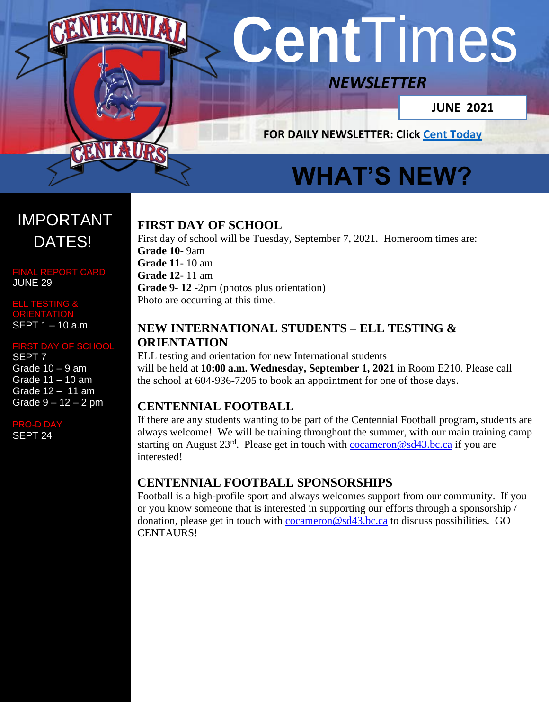# **Cent**Times

## *NEWSLETTER*

**JUNE 2021**

**FOR DAILY NEWSLETTER: Click [Cent Today](http://www.sd43.bc.ca/school/centennial/Publication%20Documents/Pages/default.aspx)**

# **WHAT'S NEW?**

#### **[FIRST](https://www2.gov.bc.ca/gov/content/education-training/k-12/administration/program-management/district-authority-scholarships-allocation-reporting) DAY OF SCHOOL**

First day of school will be Tuesday, September 7, 2021. Homeroom times are: **Grade 10**- 9am **Grade 11**- 10 am **Grade 12**- 11 am **Grade 9- 12** -2pm (photos plus orientation) Photo are occurring at this time.

#### **NEW INTERNATIONAL STUDENTS – ELL TESTING & ORIENTATION**

ELL testing and orientation for new International students will be held at **10:00 a.m. Wednesday, September 1, 2021** in Room E210. Please call the school at 604-936-7205 to book an appointment for one of those days.

#### **CENTENNIAL FOOTBALL**

If there are any students wanting to be part of the Centennial Football program, students are always welcome! We will be training throughout the summer, with our main training camp starting on August 23<sup>rd</sup>. Please get in touch with **cocameron@sd43.bc.ca** if you are interested!

#### **CENTENNIAL FOOTBALL SPONSORSHIPS**

Football is a high-profile sport and always welcomes support from our community. If you or you know someone that is interested in supporting our efforts through a sponsorship / donation, please get in touch with [cocameron@sd43.bc.ca](mailto:cocameron@sd43.bc.ca) to discuss possibilities. GO CENTAURS!

## IMPORTANT DATES!

FINAL REPORT CARD JUNE 29

ELL TESTING & **ORIENTATION** SEPT 1 – 10 a.m.

#### **ST DAY OF SCHOOL**

SEPT 7 Grade  $10 - 9$  am Grade 11 – 10 am Grade 12 – 11 am Grade  $9 - 12 - 2$  pm

 $O-D$  D

SEPT 24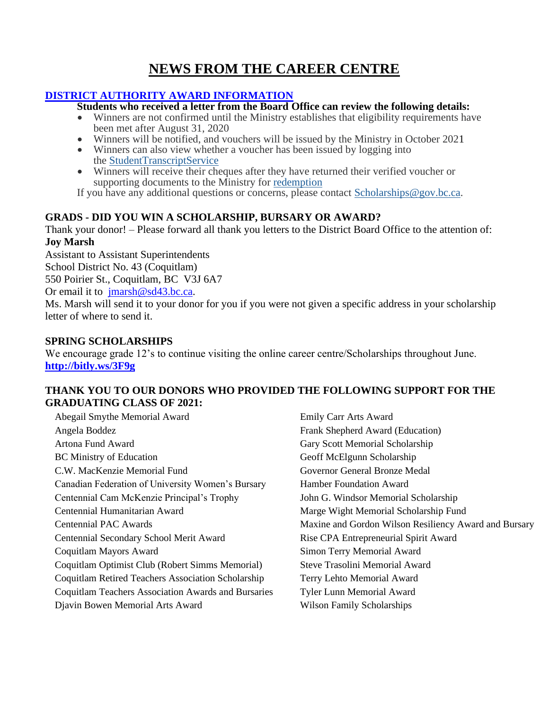#### **NEWS FROM THE CAREER CENTRE**

#### **[DISTRICT AUTHORITY AWARD INFORMATION](https://www2.gov.bc.ca/gov/content/education-training/k-12/administration/program-management/district-authority-scholarships-allocation-reporting)**

**Students who received a letter from the Board Office can review the following details:**

- Winners are not confirmed until the Ministry establishes that eligibility requirements have been met after August 31, 2020
- Winners will be notified, and vouchers will be issued by the Ministry in October 2021
- Winners can also view whether a voucher has been issued by logging into the [StudentTranscriptService](https://www2.gov.bc.ca/gov/content/education-training/k-12/support/transcripts-and-certificates)
- Winners will receive their cheques after they have returned their verified voucher or supporting documents to the Ministry for [redemption](https://www2.gov.bc.ca/gov/content/education-training/k-12/support/scholarships/provincial-scholarships/using-a-scholarship#redeem)

If you have any additional questions or concerns, please contact [Scholarships@gov.bc.ca.](mailto:Scholarships@gov.bc.ca)

#### **GRADS - DID YOU WIN A SCHOLARSHIP, BURSARY OR AWARD?**

Thank your donor! – Please forward all thank you letters to the District Board Office to the attention of: **Joy Marsh**

Assistant to Assistant Superintendents School District No. 43 (Coquitlam) 550 Poirier St., Coquitlam, BC V3J 6A7 Or email it to [jmarsh@sd43.bc.ca.](mailto:jmarsh@sd43.bc.ca) Ms. Marsh will send it to your donor for you if you were not given a specific address in your scholarship letter of where to send it.

#### **SPRING SCHOLARSHIPS**

We encourage grade 12's to continue visiting the online career centre/Scholarships throughout June. **<http://bitly.ws/3F9g>**

#### **THANK YOU TO OUR DONORS WHO PROVIDED THE FOLLOWING SUPPORT FOR THE GRADUATING CLASS OF 2021:**

Abegail Smythe Memorial Award Angela Boddez Artona Fund Award BC Ministry of Education C.W. MacKenzie Memorial Fund Canadian Federation of University Women's Bursary Centennial Cam McKenzie Principal's Trophy Centennial Humanitarian Award Centennial PAC Awards Centennial Secondary School Merit Award Coquitlam Mayors Award Coquitlam Optimist Club (Robert Simms Memorial) Coquitlam Retired Teachers Association Scholarship Coquitlam Teachers Association Awards and Bursaries Djavin Bowen Memorial Arts Award

Emily Carr Arts Award Frank Shepherd Award (Education) Gary Scott Memorial Scholarship Geoff McElgunn Scholarship Governor General Bronze Medal Hamber Foundation Award John G. Windsor Memorial Scholarship Marge Wight Memorial Scholarship Fund Maxine and Gordon Wilson Resiliency Award and Bursary Rise CPA Entrepreneurial Spirit Award Simon Terry Memorial Award Steve Trasolini Memorial Award Terry Lehto Memorial Award Tyler Lunn Memorial Award Wilson Family Scholarships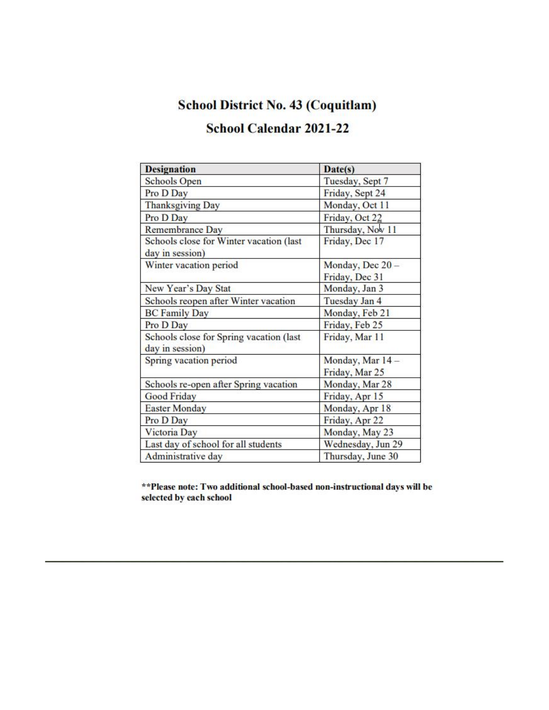### **School District No. 43 (Coquitlam)**

#### School Calendar 2021-22

| <b>Designation</b>                                         | Date(s)           |
|------------------------------------------------------------|-------------------|
| <b>Schools Open</b>                                        | Tuesday, Sept 7   |
| Pro D Day                                                  | Friday, Sept 24   |
| <b>Thanksgiving Day</b>                                    | Monday, Oct 11    |
| Pro D Day                                                  | Friday, Oct 22    |
| Remembrance Day                                            | Thursday, Nov 11  |
| Schools close for Winter vacation (last<br>day in session) | Friday, Dec 17    |
| Winter vacation period                                     | Monday, Dec 20 -  |
|                                                            | Friday, Dec 31    |
| New Year's Day Stat                                        | Monday, Jan 3     |
| Schools reopen after Winter vacation                       | Tuesday Jan 4     |
| <b>BC Family Day</b>                                       | Monday, Feb 21    |
| Pro D Day                                                  | Friday, Feb 25    |
| Schools close for Spring vacation (last<br>day in session) | Friday, Mar 11    |
| Spring vacation period                                     | Monday, Mar 14 -  |
|                                                            | Friday, Mar 25    |
| Schools re-open after Spring vacation                      | Monday, Mar 28    |
| <b>Good Friday</b>                                         | Friday, Apr 15    |
| <b>Easter Monday</b>                                       | Monday, Apr 18    |
| Pro D Day                                                  | Friday, Apr 22    |
| Victoria Day                                               | Monday, May 23    |
| Last day of school for all students                        | Wednesday, Jun 29 |
| Administrative day                                         | Thursday, June 30 |

\*\* Please note: Two additional school-based non-instructional days will be selected by each school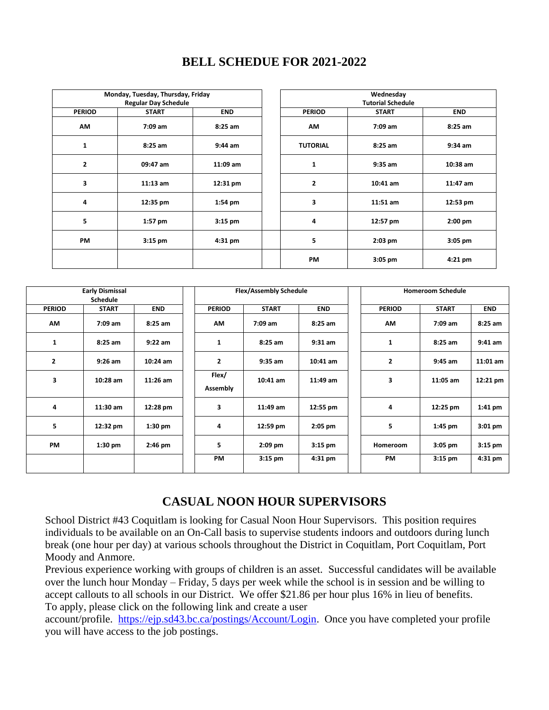| Monday, Tuesday, Thursday, Friday |              | Wednesday  |  |                          |              |            |  |
|-----------------------------------|--------------|------------|--|--------------------------|--------------|------------|--|
| <b>Regular Day Schedule</b>       |              |            |  | <b>Tutorial Schedule</b> |              |            |  |
| <b>PERIOD</b>                     | <b>START</b> | <b>END</b> |  | <b>PERIOD</b>            | <b>START</b> | <b>END</b> |  |
| <b>AM</b>                         | $7:09$ am    | $8:25$ am  |  | <b>AM</b>                | $7:09$ am    | $8:25$ am  |  |
| 1                                 | 8:25 am      | $9:44$ am  |  | <b>TUTORIAL</b>          | $8:25$ am    | $9:34$ am  |  |
| $\overline{2}$                    | 09:47 am     | $11:09$ am |  | 1                        | $9:35$ am    | $10:38$ am |  |
| 3                                 | $11:13$ am   | 12:31 pm   |  | 2                        | $10:41$ am   | $11:47$ am |  |
| 4                                 | 12:35 pm     | $1:54$ pm  |  | 3                        | $11:51$ am   | 12:53 pm   |  |
| 5                                 | $1:57$ pm    | $3:15$ pm  |  | 4                        | 12:57 pm     | $2:00$ pm  |  |
| <b>PM</b>                         | $3:15$ pm    | $4:31$ pm  |  | 5                        | $2:03$ pm    | $3:05$ pm  |  |
|                                   |              |            |  | <b>PM</b>                | $3:05$ pm    | $4:21$ pm  |  |

#### **BELL SCHEDUE FOR 2021-2022**

| <b>Early Dismissal</b><br><b>Schedule</b> |              |            |                   | <b>Flex/Assembly Schedule</b> |            |                | <b>Homeroom Schedule</b> |            |  |
|-------------------------------------------|--------------|------------|-------------------|-------------------------------|------------|----------------|--------------------------|------------|--|
| <b>PERIOD</b>                             | <b>START</b> | <b>END</b> | <b>PERIOD</b>     | <b>START</b>                  | <b>END</b> | <b>PERIOD</b>  | <b>START</b>             | <b>END</b> |  |
| <b>AM</b>                                 | $7:09$ am    | $8:25$ am  | AM                | $7:09$ am                     | $8:25$ am  | <b>AM</b>      | $7:09$ am                | $8:25$ am  |  |
| 1                                         | $8:25$ am    | $9:22$ am  | 1                 | $8:25$ am                     | $9:31$ am  | 1              | $8:25$ am                | $9:41$ am  |  |
| $\overline{\mathbf{2}}$                   | $9:26$ am    | $10:24$ am | $\mathbf{2}$      | $9:35$ am                     | $10:41$ am | $\overline{2}$ | $9:45$ am                | $11:01$ am |  |
| 3                                         | $10:28$ am   | $11:26$ am | Flex/<br>Assembly | $10:41$ am                    | $11:49$ am | 3              | $11:05$ am               | 12:21 pm   |  |
| 4                                         | $11:30$ am   | 12:28 pm   | 3                 | $11:49$ am                    | 12:55 pm   | 4              | 12:25 pm                 | $1:41$ pm  |  |
| 5                                         | 12:32 pm     | $1:30$ pm  | 4                 | 12:59 pm                      | $2:05$ pm  | 5              | $1:45$ pm                | $3:01$ pm  |  |
| <b>PM</b>                                 | $1:30$ pm    | $2:46$ pm  | 5                 | $2:09$ pm                     | $3:15$ pm  | Homeroom       | $3:05$ pm                | $3:15$ pm  |  |
|                                           |              |            | <b>PM</b>         | $3:15$ pm                     | $4:31$ pm  | <b>PM</b>      | $3:15$ pm                | $4:31$ pm  |  |

#### **CASUAL NOON HOUR SUPERVISORS**

School District #43 Coquitlam is looking for Casual Noon Hour Supervisors. This position requires individuals to be available on an On-Call basis to supervise students indoors and outdoors during lunch break (one hour per day) at various schools throughout the District in Coquitlam, Port Coquitlam, Port Moody and Anmore.

Previous experience working with groups of children is an asset. Successful candidates will be available over the lunch hour Monday – Friday, 5 days per week while the school is in session and be willing to accept callouts to all schools in our District. We offer \$21.86 per hour plus 16% in lieu of benefits. To apply, please click on the following link and create a user

account/profile. [https://ejp.sd43.bc.ca/postings/Account/Login.](https://ejp.sd43.bc.ca/postings/Account/Login) Once you have completed your profile you will have access to the job postings.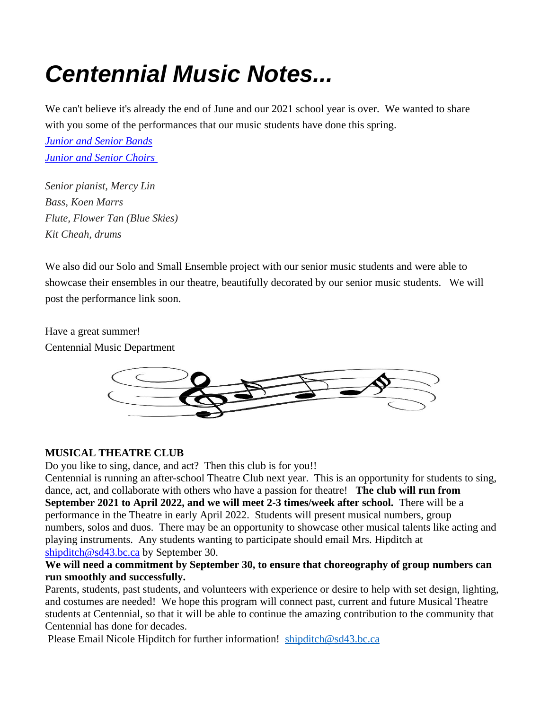## *Centennial Music Notes...*

We can't believe it's already the end of June and our 2021 school year is over. We wanted to share with you some of the performances that our music students have done this spring.

*[Junior and Senior Bands](https://sd43bcca-my.sharepoint.com/:f:/g/personal/mgrier_sd43_bc_ca/EnfuQFlkzw9Et1bu3h50Jy4B8CNWwtM-TWt8b2F_D3JSlw?e=lfb1xL) [Junior and Senior Choirs](https://sd43bcca-my.sharepoint.com/:f:/g/personal/mgrier_sd43_bc_ca/EnO7DoWMWZdGgVv2tbtLZ0YB-i7WBNbS97seE6mbawnOSg?e=jDHB0F)* 

*Senior pianist, Mercy Lin Bass, Koen Marrs Flute, Flower Tan (Blue Skies) Kit Cheah, drums*

We also did our Solo and Small Ensemble project with our senior music students and were able to showcase their ensembles in our theatre, beautifully decorated by our senior music students. We will post the performance link soon.

Have a great summer! Centennial Music Department



#### **MUSICAL THEATRE CLUB**

Do you like to sing, dance, and act? Then this club is for you!!

Centennial is running an after-school Theatre Club next year. This is an opportunity for students to sing, dance, act, and collaborate with others who have a passion for theatre! **The club will run from September 2021 to April 2022, and we will meet 2-3 times/week after school.** There will be a performance in the Theatre in early April 2022. Students will present musical numbers, group numbers, solos and duos. There may be an opportunity to showcase other musical talents like acting and playing instruments. Any students wanting to participate should email Mrs. Hipditch at [shipditch@sd43.bc.ca](mailto:shipditch@sd43.bc.ca) by September 30.

#### **We will need a commitment by September 30, to ensure that choreography of group numbers can run smoothly and successfully.**

Parents, students, past students, and volunteers with experience or desire to help with set design, lighting, and costumes are needed! We hope this program will connect past, current and future Musical Theatre students at Centennial, so that it will be able to continue the amazing contribution to the community that Centennial has done for decades.

Please Email Nicole Hipditch for further information! [shipditch@sd43.bc.ca](mailto:shipditch@sd43.bc.ca)